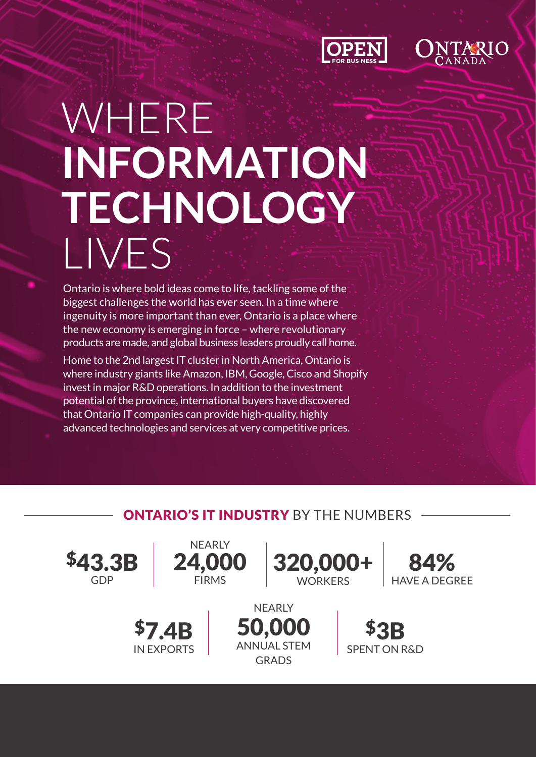



# WHERE **INFORMATION TECHNOLOGY**  LIVES

Ontario is where bold ideas come to life, tackling some of the biggest challenges the world has ever seen. In a time where ingenuity is more important than ever, Ontario is a place where the new economy is emerging in force – where revolutionary products are made, and global business leaders proudly call home.

Home to the 2nd largest IT cluster in North America, Ontario is where industry giants like Amazon, IBM, Google, Cisco and Shopify invest in major R&D operations. In addition to the investment potential of the province, international buyers have discovered that Ontario IT companies can provide high-quality, highly advanced technologies and services at very competitive prices.

# **ONTARIO'S IT INDUSTRY** BY THE NUMBERS